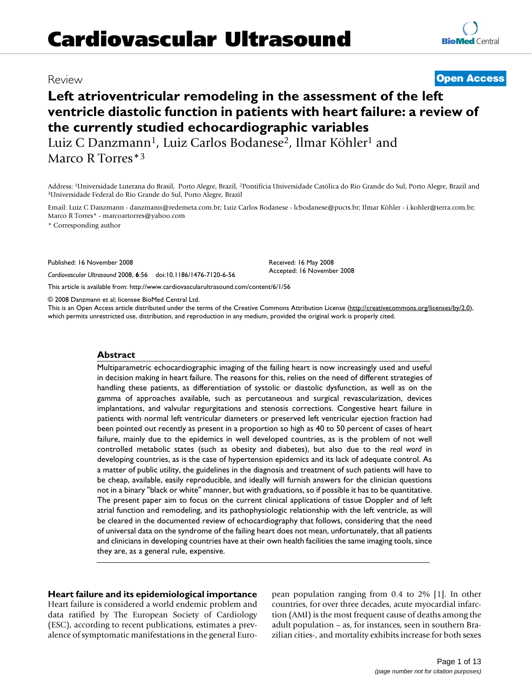# **Left atrioventricular remodeling in the assessment of the left ventricle diastolic function in patients with heart failure: a review of the currently studied echocardiographic variables**

Luiz C Danzmann<sup>1</sup>, Luiz Carlos Bodanese<sup>2</sup>, Ilmar Köhler<sup>1</sup> and Marco R Torres\*3

Address: <sup>1</sup>Universidade Luterana do Brasil, Porto Alegre, Brazil, <sup>2</sup>Pontifícia Universidade Católica do Rio Grande do Sul, Porto Alegre, Brazil and <sup>3</sup>Universidade Federal do Rio Grande do Sul, Porto Alegre, Brazil and

Email: Luiz C Danzmann - danzmann@redemeta.com.br; Luiz Carlos Bodanese - lcbodanese@pucrs.br; Ilmar Köhler - i.kohler@terra.com.br; Marco R Torres\* - marcoartorres@yahoo.com

> Received: 16 May 2008 Accepted: 16 November 2008

\* Corresponding author

Published: 16 November 2008

*Cardiovascular Ultrasound* 2008, **6**:56 doi:10.1186/1476-7120-6-56

[This article is available from: http://www.cardiovascularultrasound.com/content/6/1/56](http://www.cardiovascularultrasound.com/content/6/1/56)

© 2008 Danzmann et al; licensee BioMed Central Ltd.

This is an Open Access article distributed under the terms of the Creative Commons Attribution License [\(http://creativecommons.org/licenses/by/2.0\)](http://creativecommons.org/licenses/by/2.0), which permits unrestricted use, distribution, and reproduction in any medium, provided the original work is properly cited.

#### **Abstract**

Multiparametric echocardiographic imaging of the failing heart is now increasingly used and useful in decision making in heart failure. The reasons for this, relies on the need of different strategies of handling these patients, as differentiation of systolic or diastolic dysfunction, as well as on the gamma of approaches available, such as percutaneous and surgical revascularization, devices implantations, and valvular regurgitations and stenosis corrections. Congestive heart failure in patients with normal left ventricular diameters or preserved left ventricular ejection fraction had been pointed out recently as present in a proportion so high as 40 to 50 percent of cases of heart failure, mainly due to the epidemics in well developed countries, as is the problem of not well controlled metabolic states (such as obesity and diabetes), but also due to the *real word* in developing countries, as is the case of hypertension epidemics and its lack of adequate control. As a matter of public utility, the guidelines in the diagnosis and treatment of such patients will have to be cheap, available, easily reproducible, and ideally will furnish answers for the clinician questions not in a binary "black or white" manner, but with graduations, so if possible it has to be quantitative. The present paper aim to focus on the current clinical applications of tissue Doppler and of left atrial function and remodeling, and its pathophysiologic relationship with the left ventricle, as will be cleared in the documented review of echocardiography that follows, considering that the need of universal data on the syndrome of the failing heart does not mean, unfortunately, that all patients and clinicians in developing countries have at their own health facilities the same imaging tools, since they are, as a general rule, expensive.

#### **Heart failure and its epidemiological importance**

Heart failure is considered a world endemic problem and data ratified by The European Society of Cardiology (ESC), according to recent publications, estimates a prevalence of symptomatic manifestations in the general European population ranging from 0.4 to 2% [1]. In other countries, for over three decades, acute myocardial infarction (AMI) is the most frequent cause of deaths among the adult population – as, for instances, seen in southern Brazilian cities-, and mortality exhibits increase for both sexes

# Review **[Open Access](http://www.biomedcentral.com/info/about/charter/)**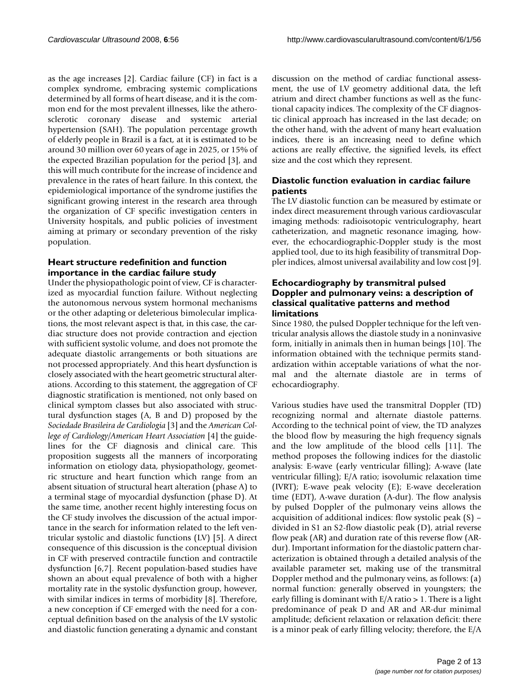as the age increases [2]. Cardiac failure (CF) in fact is a complex syndrome, embracing systemic complications determined by all forms of heart disease, and it is the common end for the most prevalent illnesses, like the atherosclerotic coronary disease and systemic arterial hypertension (SAH). The population percentage growth of elderly people in Brazil is a fact, at it is estimated to be around 30 million over 60 years of age in 2025, or 15% of the expected Brazilian population for the period [3], and this will much contribute for the increase of incidence and prevalence in the rates of heart failure. In this context, the epidemiological importance of the syndrome justifies the significant growing interest in the research area through the organization of CF specific investigation centers in University hospitals, and public policies of investment aiming at primary or secondary prevention of the risky population.

#### **Heart structure redefinition and function importance in the cardiac failure study**

Under the physiopathologic point of view, CF is characterized as myocardial function failure. Without neglecting the autonomous nervous system hormonal mechanisms or the other adapting or deleterious bimolecular implications, the most relevant aspect is that, in this case, the cardiac structure does not provide contraction and ejection with sufficient systolic volume, and does not promote the adequate diastolic arrangements or both situations are not processed appropriately. And this heart dysfunction is closely associated with the heart geometric structural alterations. According to this statement, the aggregation of CF diagnostic stratification is mentioned, not only based on clinical symptom classes but also associated with structural dysfunction stages (A, B and D) proposed by the *Sociedade Brasileira de Cardiologia* [3] and the *American College of Cardiology/American Heart Association* [4] the guidelines for the CF diagnosis and clinical care. This proposition suggests all the manners of incorporating information on etiology data, physiopathology, geometric structure and heart function which range from an absent situation of structural heart alteration (phase A) to a terminal stage of myocardial dysfunction (phase D). At the same time, another recent highly interesting focus on the CF study involves the discussion of the actual importance in the search for information related to the left ventricular systolic and diastolic functions (LV) [5]. A direct consequence of this discussion is the conceptual division in CF with preserved contractile function and contractile dysfunction [6,7]. Recent population-based studies have shown an about equal prevalence of both with a higher mortality rate in the systolic dysfunction group, however, with similar indices in terms of morbidity [8]. Therefore, a new conception if CF emerged with the need for a conceptual definition based on the analysis of the LV systolic and diastolic function generating a dynamic and constant discussion on the method of cardiac functional assessment, the use of LV geometry additional data, the left atrium and direct chamber functions as well as the functional capacity indices. The complexity of the CF diagnostic clinical approach has increased in the last decade; on the other hand, with the advent of many heart evaluation indices, there is an increasing need to define which actions are really effective, the signified levels, its effect size and the cost which they represent.

# **Diastolic function evaluation in cardiac failure patients**

The LV diastolic function can be measured by estimate or index direct measurement through various cardiovascular imaging methods: radioisotopic ventriculography, heart catheterization, and magnetic resonance imaging, however, the echocardiographic-Doppler study is the most applied tool, due to its high feasibility of transmitral Doppler indices, almost universal availability and low cost [9].

#### **Echocardiography by transmitral pulsed Doppler and pulmonary veins: a description of classical qualitative patterns and method limitations**

Since 1980, the pulsed Doppler technique for the left ventricular analysis allows the diastole study in a noninvasive form, initially in animals then in human beings [10]. The information obtained with the technique permits standardization within acceptable variations of what the normal and the alternate diastole are in terms of echocardiography.

Various studies have used the transmitral Doppler (TD) recognizing normal and alternate diastole patterns. According to the technical point of view, the TD analyzes the blood flow by measuring the high frequency signals and the low amplitude of the blood cells [11]. The method proposes the following indices for the diastolic analysis: E-wave (early ventricular filling); A-wave (late ventricular filling); E/A ratio; isovolumic relaxation time (IVRT); E-wave peak velocity (E); E-wave deceleration time (EDT), A-wave duration (A-dur). The flow analysis by pulsed Doppler of the pulmonary veins allows the acquisition of additional indices: flow systolic peak (S) – divided in S1 an S2-flow diastolic peak (D), atrial reverse flow peak (AR) and duration rate of this reverse flow (ARdur). Important information for the diastolic pattern characterization is obtained through a detailed analysis of the available parameter set, making use of the transmitral Doppler method and the pulmonary veins, as follows: (a) normal function: generally observed in youngsters; the early filling is dominant with  $E/A$  ratio  $> 1$ . There is a light predominance of peak D and AR and AR-dur minimal amplitude; deficient relaxation or relaxation deficit: there is a minor peak of early filling velocity; therefore, the E/A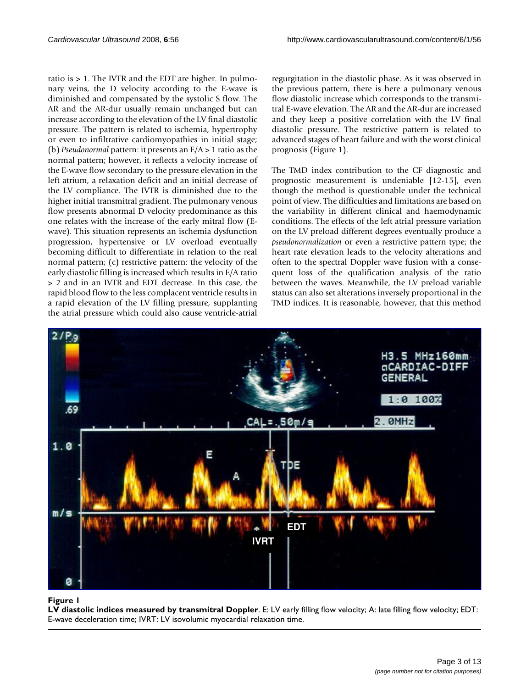ratio is > 1. The IVTR and the EDT are higher. In pulmonary veins, the D velocity according to the E-wave is diminished and compensated by the systolic S flow. The AR and the AR-dur usually remain unchanged but can increase according to the elevation of the LV final diastolic pressure. The pattern is related to ischemia, hypertrophy or even to infiltrative cardiomyopathies in initial stage; (b) *Pseudonormal* pattern: it presents an E/A > 1 ratio as the normal pattern; however, it reflects a velocity increase of the E-wave flow secondary to the pressure elevation in the left atrium, a relaxation deficit and an initial decrease of the LV compliance. The IVTR is diminished due to the higher initial transmitral gradient. The pulmonary venous flow presents abnormal D velocity predominance as this one relates with the increase of the early mitral flow (Ewave). This situation represents an ischemia dysfunction progression, hypertensive or LV overload eventually becoming difficult to differentiate in relation to the real normal pattern; (c) restrictive pattern: the velocity of the early diastolic filling is increased which results in E/A ratio > 2 and in an IVTR and EDT decrease. In this case, the rapid blood flow to the less complacent ventricle results in a rapid elevation of the LV filling pressure, supplanting the atrial pressure which could also cause ventricle-atrial

regurgitation in the diastolic phase. As it was observed in the previous pattern, there is here a pulmonary venous flow diastolic increase which corresponds to the transmitral E-wave elevation. The AR and the AR-dur are increased and they keep a positive correlation with the LV final diastolic pressure. The restrictive pattern is related to advanced stages of heart failure and with the worst clinical prognosis (Figure 1).

The TMD index contribution to the CF diagnostic and prognostic measurement is undeniable [12-15], even though the method is questionable under the technical point of view. The difficulties and limitations are based on the variability in different clinical and haemodynamic conditions. The effects of the left atrial pressure variation on the LV preload different degrees eventually produce a *pseudonormalization* or even a restrictive pattern type; the heart rate elevation leads to the velocity alterations and often to the spectral Doppler wave fusion with a consequent loss of the qualification analysis of the ratio between the waves. Meanwhile, the LV preload variable status can also set alterations inversely proportional in the TMD indices. It is reasonable, however, that this method



#### Figure 1

**LV diastolic indices measured by transmitral Doppler**. E: LV early filling flow velocity; A: late filling flow velocity; EDT: E-wave deceleration time; IVRT: LV isovolumic myocardial relaxation time.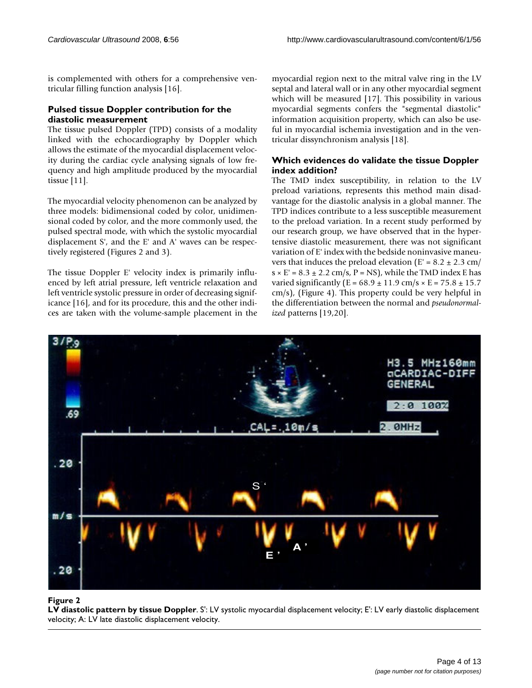is complemented with others for a comprehensive ventricular filling function analysis [16].

# **Pulsed tissue Doppler contribution for the diastolic measurement**

The tissue pulsed Doppler (TPD) consists of a modality linked with the echocardiography by Doppler which allows the estimate of the myocardial displacement velocity during the cardiac cycle analysing signals of low frequency and high amplitude produced by the myocardial tissue [11].

The myocardial velocity phenomenon can be analyzed by three models: bidimensional coded by color, unidimensional coded by color, and the more commonly used, the pulsed spectral mode, with which the systolic myocardial displacement S', and the E' and A' waves can be respectively registered (Figures 2 and 3).

The tissue Doppler E' velocity index is primarily influenced by left atrial pressure, left ventricle relaxation and left ventricle systolic pressure in order of decreasing significance [16], and for its procedure, this and the other indices are taken with the volume-sample placement in the myocardial region next to the mitral valve ring in the LV septal and lateral wall or in any other myocardial segment which will be measured [17]. This possibility in various myocardial segments confers the "segmental diastolic" information acquisition property, which can also be useful in myocardial ischemia investigation and in the ventricular dissynchronism analysis [18].

# **Which evidences do validate the tissue Doppler index addition?**

The TMD index susceptibility, in relation to the LV preload variations, represents this method main disadvantage for the diastolic analysis in a global manner. The TPD indices contribute to a less susceptible measurement to the preload variation. In a recent study performed by our research group, we have observed that in the hypertensive diastolic measurement, there was not significant variation of E' index with the bedside noninvasive maneuvers that induces the preload elevation ( $E' = 8.2 \pm 2.3$  cm/  $s \times E' = 8.3 \pm 2.2$  cm/s, P = NS), while the TMD index E has varied significantly ( $E = 68.9 \pm 11.9$  cm/s  $\times$  E = 75.8  $\pm$  15.7 cm/s), (Figure 4). This property could be very helpful in the differentiation between the normal and *pseudonormalized* patterns [19,20].



#### **Figure 2**

**LV diastolic pattern by tissue Doppler**. S': LV systolic myocardial displacement velocity; E': LV early diastolic displacement velocity; A: LV late diastolic displacement velocity.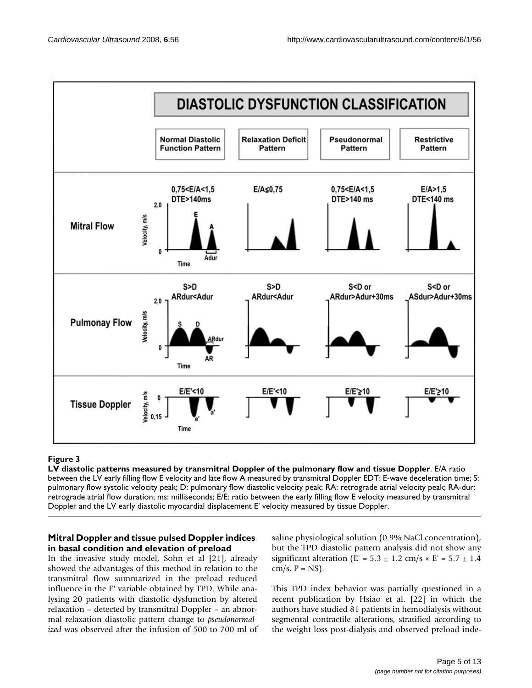

# LV diastolic patterns measured by transmitral Do **Figure 3** ppler of the pulmonary flow and tissue Doppler

**LV diastolic patterns measured by transmitral Doppler of the pulmonary flow and tissue Doppler**. E/A ratio between the LV early filling flow E velocity and late flow A measured by transmitral Doppler EDT: E-wave deceleration time; S: pulmonary flow systolic velocity peak; D: pulmonary flow diastolic velocity peak; RA: retrograde atrial velocity peak; RA-dur: retrograde atrial flow duration; ms: milliseconds; E/E: ratio between the early filling flow E velocity measured by transmitral Doppler and the LV early diastolic myocardial displacement E' velocity measured by tissue Doppler.

#### **Mitral Doppler and tissue pulsed Doppler indices in basal condition and elevation of preload**

In the invasive study model, Sohn et al [21], already showed the advantages of this method in relation to the transmitral flow summarized in the preload reduced influence in the E' variable obtained by TPD. While analysing 20 patients with diastolic dysfunction by altered relaxation – detected by transmitral Doppler – an abnormal relaxation diastolic pattern change to *pseudonormalized* was observed after the infusion of 500 to 700 ml of saline physiological solution (0.9% NaCl concentration), but the TPD diastolic pattern analysis did not show any significant alteration (E' =  $5.3 \pm 1.2$  cm/s × E' =  $5.7 \pm 1.4$ cm/s,  $P = NS$ ).

This TPD index behavior was partially questioned in a recent publication by Hsiao et al. [22] in which the authors have studied 81 patients in hemodialysis without segmental contractile alterations, stratified according to the weight loss post-dialysis and observed preload inde-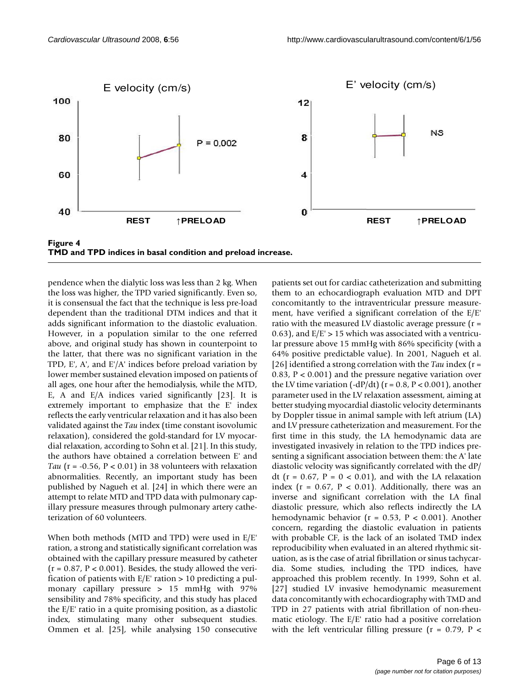

pendence when the dialytic loss was less than 2 kg. When the loss was higher, the TPD varied significantly. Even so, it is consensual the fact that the technique is less pre-load dependent than the traditional DTM indices and that it adds significant information to the diastolic evaluation. However, in a population similar to the one referred above, and original study has shown in counterpoint to the latter, that there was no significant variation in the TPD, E', A', and E'/A' indices before preload variation by lower member sustained elevation imposed on patients of all ages, one hour after the hemodialysis, while the MTD, E, A and E/A indices varied significantly [23]. It is extremely important to emphasize that the E' index reflects the early ventricular relaxation and it has also been validated against the *Tau* index (time constant isovolumic relaxation), considered the gold-standard for LV myocardial relaxation, according to Sohn et al. [21]. In this study, the authors have obtained a correlation between E' and *Tau* ( $r = -0.56$ ,  $P < 0.01$ ) in 38 volunteers with relaxation abnormalities. Recently, an important study has been published by Nagueh et al. [24] in which there were an attempt to relate MTD and TPD data with pulmonary capillary pressure measures through pulmonary artery catheterization of 60 volunteers.

When both methods (MTD and TPD) were used in E/E' ration, a strong and statistically significant correlation was obtained with the capillary pressure measured by catheter  $(r = 0.87, P < 0.001)$ . Besides, the study allowed the verification of patients with  $E/E'$  ration  $> 10$  predicting a pulmonary capillary pressure > 15 mmHg with 97% sensibility and 78% specificity, and this study has placed the E/E' ratio in a quite promising position, as a diastolic index, stimulating many other subsequent studies. Ommen et al. [25], while analysing 150 consecutive

patients set out for cardiac catheterization and submitting them to an echocardiograph evaluation MTD and DPT concomitantly to the intraventricular pressure measurement, have verified a significant correlation of the E/E' ratio with the measured LV diastolic average pressure (r = 0.63), and  $E/E' > 15$  which was associated with a ventricular pressure above 15 mmHg with 86% specificity (with a 64% positive predictable value). In 2001, Nagueh et al. [26] identified a strong correlation with the *Tau* index (r = 0.83, P < 0.001) and the pressure negative variation over the LV time variation  $(-dP/dt)$  (r = 0.8, P < 0.001), another parameter used in the LV relaxation assessment, aiming at better studying myocardial diastolic velocity determinants by Doppler tissue in animal sample with left atrium (LA) and LV pressure catheterization and measurement. For the first time in this study, the LA hemodynamic data are investigated invasively in relation to the TPD indices presenting a significant association between them: the A' late diastolic velocity was significantly correlated with the dP/ dt ( $r = 0.67$ ,  $P = 0 < 0.01$ ), and with the LA relaxation index ( $r = 0.67$ ,  $P < 0.01$ ). Additionally, there was an inverse and significant correlation with the LA final diastolic pressure, which also reflects indirectly the LA hemodynamic behavior ( $r = 0.53$ ,  $P < 0.001$ ). Another concern, regarding the diastolic evaluation in patients with probable CF, is the lack of an isolated TMD index reproducibility when evaluated in an altered rhythmic situation, as is the case of atrial fibrillation or sinus tachycardia. Some studies, including the TPD indices, have approached this problem recently. In 1999, Sohn et al. [27] studied LV invasive hemodynamic measurement data concomitantly with echocardiography with TMD and TPD in 27 patients with atrial fibrillation of non-rheumatic etiology. The E/E' ratio had a positive correlation with the left ventricular filling pressure ( $r = 0.79$ ,  $P <$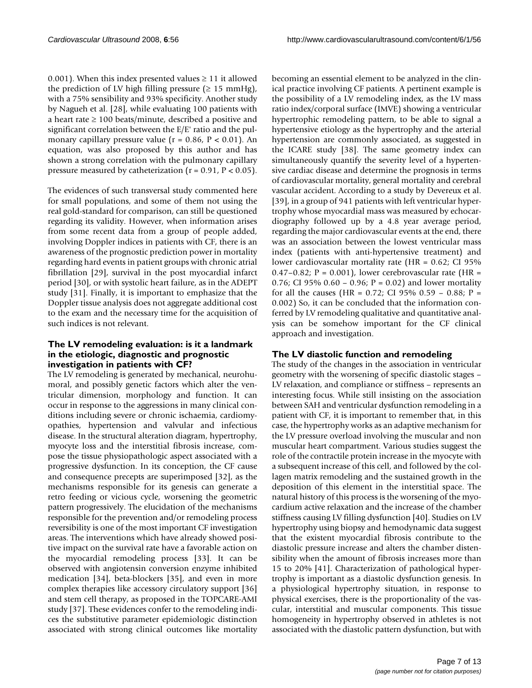0.001). When this index presented values  $\geq 11$  it allowed the prediction of LV high filling pressure  $(≥ 15 \text{ mmHg})$ , with a 75% sensibility and 93% specificity. Another study by Nagueh et al. [28], while evaluating 100 patients with a heart rate  $\geq 100$  beats/minute, described a positive and significant correlation between the E/E' ratio and the pulmonary capillary pressure value ( $r = 0.86$ ,  $P < 0.01$ ). An equation, was also proposed by this author and has shown a strong correlation with the pulmonary capillary pressure measured by catheterization ( $r = 0.91$ ,  $P < 0.05$ ).

The evidences of such transversal study commented here for small populations, and some of them not using the real gold-standard for comparison, can still be questioned regarding its validity. However, when information arises from some recent data from a group of people added, involving Doppler indices in patients with CF, there is an awareness of the prognostic prediction power in mortality regarding hard events in patient groups with chronic atrial fibrillation [29], survival in the post myocardial infarct period [30], or with systolic heart failure, as in the ADEPT study [31]. Finally, it is important to emphasize that the Doppler tissue analysis does not aggregate additional cost to the exam and the necessary time for the acquisition of such indices is not relevant.

# **The LV remodeling evaluation: is it a landmark in the etiologic, diagnostic and prognostic investigation in patients with CF?**

The LV remodeling is generated by mechanical, neurohumoral, and possibly genetic factors which alter the ventricular dimension, morphology and function. It can occur in response to the aggressions in many clinical conditions including severe or chronic ischaemia, cardiomyopathies, hypertension and valvular and infectious disease. In the structural alteration diagram, hypertrophy, myocyte loss and the interstitial fibrosis increase, compose the tissue physiopathologic aspect associated with a progressive dysfunction. In its conception, the CF cause and consequence precepts are superimposed [32], as the mechanisms responsible for its genesis can generate a retro feeding or vicious cycle, worsening the geometric pattern progressively. The elucidation of the mechanisms responsible for the prevention and/or remodeling process reversibility is one of the most important CF investigation areas. The interventions which have already showed positive impact on the survival rate have a favorable action on the myocardial remodeling process [33]. It can be observed with angiotensin conversion enzyme inhibited medication [34], beta-blockers [35], and even in more complex therapies like accessory circulatory support [36] and stem cell therapy, as proposed in the TOPCARE-AMI study [37]. These evidences confer to the remodeling indices the substitutive parameter epidemiologic distinction associated with strong clinical outcomes like mortality becoming an essential element to be analyzed in the clinical practice involving CF patients. A pertinent example is the possibility of a LV remodeling index, as the LV mass ratio index/corporal surface (IMVE) showing a ventricular hypertrophic remodeling pattern, to be able to signal a hypertensive etiology as the hypertrophy and the arterial hypertension are commonly associated, as suggested in the ICARE study [38]. The same geometry index can simultaneously quantify the severity level of a hypertensive cardiac disease and determine the prognosis in terms of cardiovascular mortality, general mortality and cerebral vascular accident. According to a study by Devereux et al. [39], in a group of 941 patients with left ventricular hypertrophy whose myocardial mass was measured by echocardiography followed up by a 4.8 year average period, regarding the major cardiovascular events at the end, there was an association between the lowest ventricular mass index (patients with anti-hypertensive treatment) and lower cardiovascular mortality rate (HR = 0.62; CI 95% 0.47–0.82;  $P = 0.001$ ), lower cerebrovascular rate (HR = 0.76; CI 95% 0.60 – 0.96;  $P = 0.02$ ) and lower mortality for all the causes (HR =  $0.72$ ; CI 95% 0.59 – 0.88; P = 0.002) So, it can be concluded that the information conferred by LV remodeling qualitative and quantitative analysis can be somehow important for the CF clinical approach and investigation.

# **The LV diastolic function and remodeling**

The study of the changes in the association in ventricular geometry with the worsening of specific diastolic stages – LV relaxation, and compliance or stiffness – represents an interesting focus. While still insisting on the association between SAH and ventricular dysfunction remodeling in a patient with CF, it is important to remember that, in this case, the hypertrophy works as an adaptive mechanism for the LV pressure overload involving the muscular and non muscular heart compartment. Various studies suggest the role of the contractile protein increase in the myocyte with a subsequent increase of this cell, and followed by the collagen matrix remodeling and the sustained growth in the deposition of this element in the interstitial space. The natural history of this process is the worsening of the myocardium active relaxation and the increase of the chamber stiffness causing LV filling dysfunction [40]. Studies on LV hypertrophy using biopsy and hemodynamic data suggest that the existent myocardial fibrosis contribute to the diastolic pressure increase and alters the chamber distensibility when the amount of fibrosis increases more than 15 to 20% [41]. Characterization of pathological hypertrophy is important as a diastolic dysfunction genesis. In a physiological hypertrophy situation, in response to physical exercises, there is the proportionality of the vascular, interstitial and muscular components. This tissue homogeneity in hypertrophy observed in athletes is not associated with the diastolic pattern dysfunction, but with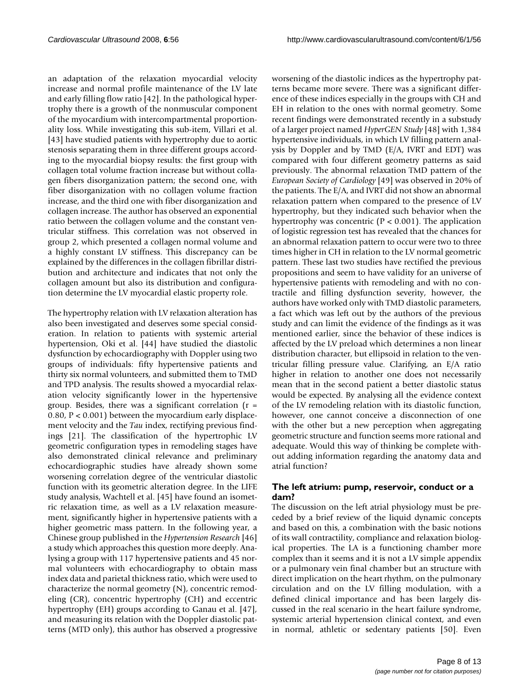an adaptation of the relaxation myocardial velocity increase and normal profile maintenance of the LV late and early filling flow ratio [42]. In the pathological hypertrophy there is a growth of the nonmuscular component of the myocardium with intercompartmental proportionality loss. While investigating this sub-item, Villari et al. [43] have studied patients with hypertrophy due to aortic stenosis separating them in three different groups according to the myocardial biopsy results: the first group with collagen total volume fraction increase but without collagen fibers disorganization pattern; the second one, with fiber disorganization with no collagen volume fraction increase, and the third one with fiber disorganization and collagen increase. The author has observed an exponential ratio between the collagen volume and the constant ventricular stiffness. This correlation was not observed in group 2, which presented a collagen normal volume and a highly constant LV stiffness. This discrepancy can be explained by the differences in the collagen fibrillar distribution and architecture and indicates that not only the collagen amount but also its distribution and configuration determine the LV myocardial elastic property role.

The hypertrophy relation with LV relaxation alteration has also been investigated and deserves some special consideration. In relation to patients with systemic arterial hypertension, Oki et al. [44] have studied the diastolic dysfunction by echocardiography with Doppler using two groups of individuals: fifty hypertensive patients and thirty six normal volunteers, and submitted them to TMD and TPD analysis. The results showed a myocardial relaxation velocity significantly lower in the hypertensive group. Besides, there was a significant correlation  $(r =$ 0.80, P < 0.001) between the myocardium early displacement velocity and the *Tau* index, rectifying previous findings [21]. The classification of the hypertrophic LV geometric configuration types in remodeling stages have also demonstrated clinical relevance and preliminary echocardiographic studies have already shown some worsening correlation degree of the ventricular diastolic function with its geometric alteration degree. In the LIFE study analysis, Wachtell et al. [45] have found an isometric relaxation time, as well as a LV relaxation measurement, significantly higher in hypertensive patients with a higher geometric mass pattern. In the following year, a Chinese group published in the *Hypertension Research* [46] a study which approaches this question more deeply. Analysing a group with 117 hypertensive patients and 45 normal volunteers with echocardiography to obtain mass index data and parietal thickness ratio, which were used to characterize the normal geometry (N), concentric remodeling (CR), concentric hypertrophy (CH) and eccentric hypertrophy (EH) groups according to Ganau et al. [47], and measuring its relation with the Doppler diastolic patterns (MTD only), this author has observed a progressive

worsening of the diastolic indices as the hypertrophy patterns became more severe. There was a significant difference of these indices especially in the groups with CH and EH in relation to the ones with normal geometry. Some recent findings were demonstrated recently in a substudy of a larger project named *HyperGEN Study* [48] with 1,384 hypertensive individuals, in which LV filling pattern analysis by Doppler and by TMD (E/A, IVRT and EDT) was compared with four different geometry patterns as said previously. The abnormal relaxation TMD pattern of the *European Society of Cardiology* [49] was observed in 20% of the patients. The E/A, and IVRT did not show an abnormal relaxation pattern when compared to the presence of LV hypertrophy, but they indicated such behavior when the hypertrophy was concentric  $(P < 0.001)$ . The application of logistic regression test has revealed that the chances for an abnormal relaxation pattern to occur were two to three times higher in CH in relation to the LV normal geometric pattern. These last two studies have rectified the previous propositions and seem to have validity for an universe of hypertensive patients with remodeling and with no contractile and filling dysfunction severity, however, the authors have worked only with TMD diastolic parameters, a fact which was left out by the authors of the previous study and can limit the evidence of the findings as it was mentioned earlier, since the behavior of these indices is affected by the LV preload which determines a non linear distribution character, but ellipsoid in relation to the ventricular filling pressure value. Clarifying, an E/A ratio higher in relation to another one does not necessarily mean that in the second patient a better diastolic status would be expected. By analysing all the evidence context of the LV remodeling relation with its diastolic function, however, one cannot conceive a disconnection of one with the other but a new perception when aggregating geometric structure and function seems more rational and adequate. Would this way of thinking be complete without adding information regarding the anatomy data and atrial function?

#### **The left atrium: pump, reservoir, conduct or a dam?**

The discussion on the left atrial physiology must be preceded by a brief review of the liquid dynamic concepts and based on this, a combination with the basic notions of its wall contractility, compliance and relaxation biological properties. The LA is a functioning chamber more complex than it seems and it is not a LV simple appendix or a pulmonary vein final chamber but an structure with direct implication on the heart rhythm, on the pulmonary circulation and on the LV filling modulation, with a defined clinical importance and has been largely discussed in the real scenario in the heart failure syndrome, systemic arterial hypertension clinical context, and even in normal, athletic or sedentary patients [50]. Even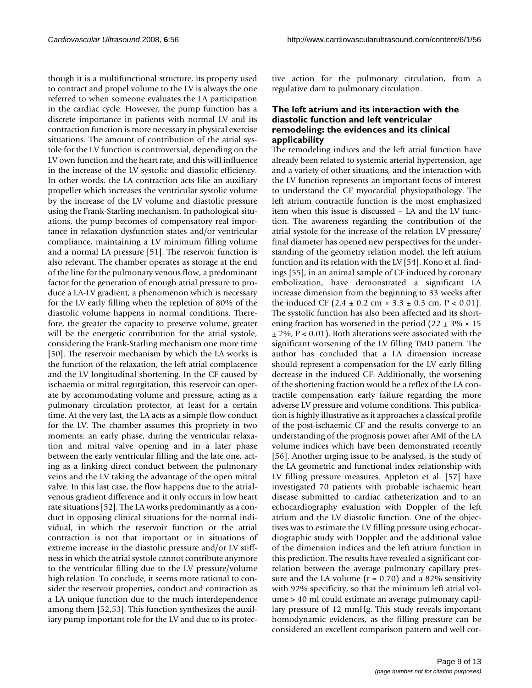though it is a multifunctional structure, its property used to contract and propel volume to the LV is always the one referred to when someone evaluates the LA participation in the cardiac cycle. However, the pump function has a discrete importance in patients with normal LV and its contraction function is more necessary in physical exercise situations. The amount of contribution of the atrial systole for the LV function is controversial, depending on the LV own function and the heart rate, and this will influence in the increase of the LV systolic and diastolic efficiency. In other words, the LA contraction acts like an auxiliary propeller which increases the ventricular systolic volume by the increase of the LV volume and diastolic pressure using the Frank-Starling mechanism. In pathological situations, the pump becomes of compensatory real importance in relaxation dysfunction states and/or ventricular compliance, maintaining a LV minimum filling volume and a normal LA pressure [51]. The reservoir function is also relevant. The chamber operates as storage at the end of the line for the pulmonary venous flow, a predominant factor for the generation of enough atrial pressure to produce a LA-LV gradient, a phenomenon which is necessary for the LV early filling when the repletion of 80% of the diastolic volume happens in normal conditions. Therefore, the greater the capacity to preserve volume, greater will be the energetic contribution for the atrial systole, considering the Frank-Starling mechanism one more time [50]. The reservoir mechanism by which the LA works is the function of the relaxation, the left atrial complacence and the LV longitudinal shortening. In the CF caused by ischaemia or mitral regurgitation, this reservoir can operate by accommodating volume and pressure, acting as a pulmonary circulation protector, at least for a certain time. At the very last, the LA acts as a simple flow conduct for the LV. The chamber assumes this propriety in two moments: an early phase, during the ventricular relaxation and mitral valve opening and in a later phase between the early ventricular filling and the late one, acting as a linking direct conduct between the pulmonary veins and the LV taking the advantage of the open mitral valve. In this last case, the flow happens due to the atrialvenous gradient difference and it only occurs in low heart rate situations [52]. The LA works predominantly as a conduct in opposing clinical situations for the normal individual, in which the reservoir function or the atrial contraction is not that important or in situations of extreme increase in the diastolic pressure and/or LV stiffness in which the atrial systole cannot contribute anymore to the ventricular filling due to the LV pressure/volume high relation. To conclude, it seems more rational to consider the reservoir properties, conduct and contraction as a LA unique function due to the much interdependence among them [52,53]. This function synthesizes the auxiliary pump important role for the LV and due to its protective action for the pulmonary circulation, from a regulative dam to pulmonary circulation.

#### **The left atrium and its interaction with the diastolic function and left ventricular remodeling: the evidences and its clinical applicability**

The remodeling indices and the left atrial function have already been related to systemic arterial hypertension, age and a variety of other situations, and the interaction with the LV function represents an important focus of interest to understand the CF myocardial physiopathology. The left atrium contractile function is the most emphasized item when this issue is discussed – LA and the LV function. The awareness regarding the contribution of the atrial systole for the increase of the relation LV pressure/ final diameter has opened new perspectives for the understanding of the geometry relation model, the left atrium function and its relation with the LV [54]. Kono et al. findings [55], in an animal sample of CF induced by coronary embolization, have demonstrated a significant LA increase dimension from the beginning to 33 weeks after the induced CF (2.4  $\pm$  0.2 cm  $\times$  3.3  $\pm$  0.3 cm, P < 0.01). The systolic function has also been affected and its shortening fraction has worsened in the period (22  $\pm$  3%  $\times$  15  $\pm$  2%, P < 0.01). Both alterations were associated with the significant worsening of the LV filling TMD pattern. The author has concluded that a LA dimension increase should represent a compensation for the LV early filling decrease in the induced CF. Additionally, the worsening of the shortening fraction would be a reflex of the LA contractile compensation early failure regarding the more adverse LV pressure and volume conditions. This publication is highly illustrative as it approaches a classical profile of the post-ischaemic CF and the results converge to an understanding of the prognosis power after AMI of the LA volume indices which have been demonstrated recently [56]. Another urging issue to be analysed, is the study of the LA geometric and functional index relationship with LV filling pressure measures. Appleton et al. [57] have investigated 70 patients with probable ischaemic heart disease submitted to cardiac catheterization and to an echocardiography evaluation with Doppler of the left atrium and the LV diastolic function. One of the objectives was to estimate the LV filling pressure using echocardiographic study with Doppler and the additional value of the dimension indices and the left atrium function in this prediction. The results have revealed a significant correlation between the average pulmonary capillary pressure and the LA volume ( $r = 0.70$ ) and a 82% sensitivity with 92% specificity, so that the minimum left atrial volume > 40 ml could estimate an average pulmonary capillary pressure of 12 mmHg. This study reveals important homodynamic evidences, as the filling pressure can be considered an excellent comparison pattern and well cor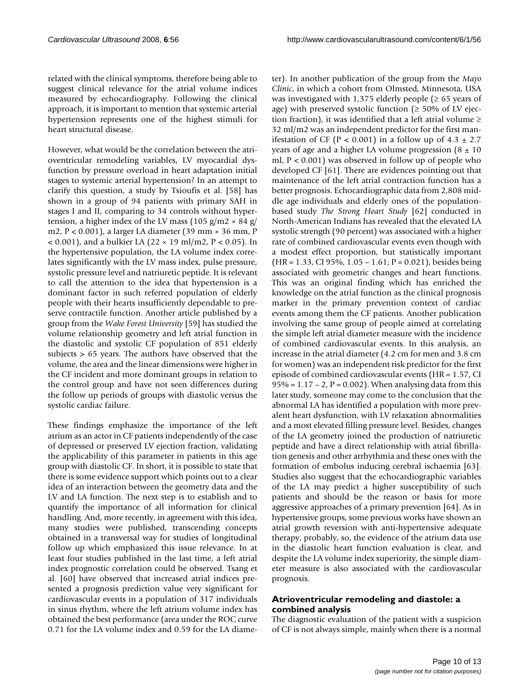related with the clinical symptoms, therefore being able to suggest clinical relevance for the atrial volume indices measured by echocardiography. Following the clinical approach, it is important to mention that systemic arterial hypertension represents one of the highest stimuli for heart structural disease.

However, what would be the correlation between the atrioventricular remodeling variables, LV myocardial dysfunction by pressure overload in heart adaptation initial stages to systemic arterial hypertension? In an attempt to clarify this question, a study by Tsioufis et al. [58] has shown in a group of 94 patients with primary SAH in stages I and II, comparing to 34 controls without hypertension, a higher index of the LV mass  $(105 \text{ g/m2} \times 84 \text{ g})$ m2, P < 0.001), a larger LA diameter (39 mm × 36 mm, P  $< 0.001$ ), and a bulkier LA (22  $\times$  19 ml/m2, P  $< 0.05$ ). In the hypertensive population, the LA volume index correlates significantly with the LV mass index, pulse pressure, systolic pressure level and natriuretic peptide. It is relevant to call the attention to the idea that hypertension is a dominant factor in such referred population of elderly people with their hearts insufficiently dependable to preserve contractile function. Another article published by a group from the *Wake Forest University* [59] has studied the volume relationship geometry and left atrial function in the diastolic and systolic CF population of 851 elderly subjects > 65 years. The authors have observed that the volume, the area and the linear dimensions were higher in the CF incident and more dominant groups in relation to the control group and have not seen differences during the follow up periods of groups with diastolic versus the systolic cardiac failure.

These findings emphasize the importance of the left atrium as an actor in CF patients independently of the case of depressed or preserved LV ejection fraction, validating the applicability of this parameter in patients in this age group with diastolic CF. In short, it is possible to state that there is some evidence support which points out to a clear idea of an interaction between the geometry data and the LV and LA function. The next step is to establish and to quantify the importance of all information for clinical handling. And, more recently, in agreement with this idea, many studies were published, transcending concepts obtained in a transversal way for studies of longitudinal follow up which emphasized this issue relevance. In at least four studies published in the last time, a left atrial index prognostic correlation could be observed. Tsang et al. [60] have observed that increased atrial indices presented a prognosis prediction value very significant for cardiovascular events in a population of 317 individuals in sinus rhythm, where the left atrium volume index has obtained the best performance (area under the ROC curve 0.71 for the LA volume index and 0.59 for the LA diameter). In another publication of the group from the *Mayo Clinic*, in which a cohort from Olmsted, Minnesota, USA was investigated with 1,375 elderly people ( $\geq$  65 years of age) with preserved systolic function ( $\geq$  50% of LV ejection fraction), it was identified that a left atrial volume  $\geq$ 32 ml/m2 was an independent predictor for the first manifestation of CF ( $P < 0.001$ ) in a follow up of  $4.3 \pm 2.7$ years of age and a higher LA volume progression  $(8 \pm 10)$ ml,  $P < 0.001$ ) was observed in follow up of people who developed CF [61]. There are evidences pointing out that maintenance of the left atrial contraction function has a better prognosis. Echocardiographic data from 2,808 middle age individuals and elderly ones of the populationbased study *The Strong Heart Study* [62] conducted in North-American Indians has revealed that the elevated LA systolic strength (90 percent) was associated with a higher rate of combined cardiovascular events even though with a modest effect proportion, but statistically important  $(HR = 1.33, CI 95\%, 1.05 - 1.61; P = 0.021)$ , besides being associated with geometric changes and heart functions. This was an original finding which has enriched the knowledge on the atrial function as the clinical prognosis marker in the primary prevention context of cardiac events among them the CF patients. Another publication involving the same group of people aimed at correlating the simple left atrial diameter measure with the incidence of combined cardiovascular events. In this analysis, an increase in the atrial diameter (4.2 cm for men and 3.8 cm for women) was an independent risk predictor for the first episode of combined cardiovascular events (HR = 1.57, CI  $95\% = 1.17 - 2$ , P = 0.002). When analysing data from this later study, someone may come to the conclusion that the abnormal LA has identified a population with more prevalent heart dysfunction, with LV relaxation abnormalities and a most elevated filling pressure level. Besides, changes of the LA geometry joined the production of natriuretic peptide and have a direct relationship with atrial fibrillation genesis and other arrhythmia and these ones with the formation of embolus inducing cerebral ischaemia [63]. Studies also suggest that the echocardiographic variables of the LA may predict a higher susceptibility of such patients and should be the reason or basis for more aggressive approaches of a primary prevention [64]. As in hypertensive groups, some previous works have shown an atrial growth reversion with anti-hypertensive adequate therapy, probably, so, the evidence of the atrium data use in the diastolic heart function evaluation is clear, and despite the LA volume index superiority, the simple diameter measure is also associated with the cardiovascular prognosis.

#### **Atrioventricular remodeling and diastole: a combined analysis**

The diagnostic evaluation of the patient with a suspicion of CF is not always simple, mainly when there is a normal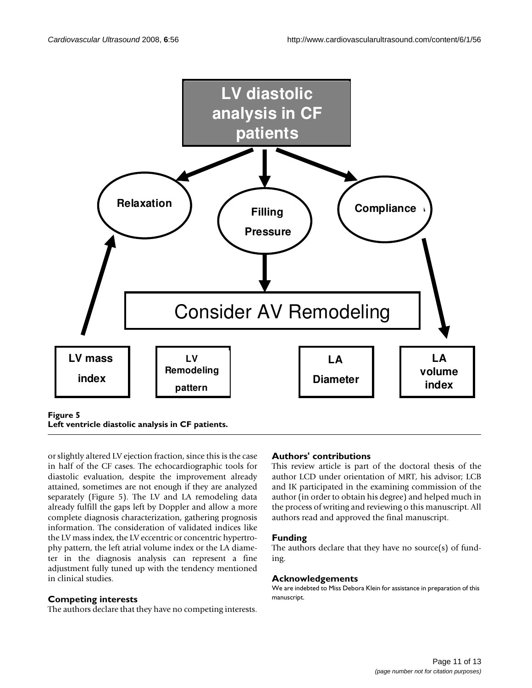

**Left ventricle diastolic analysis in CF patients.**

or slightly altered LV ejection fraction, since this is the case in half of the CF cases. The echocardiographic tools for diastolic evaluation, despite the improvement already attained, sometimes are not enough if they are analyzed separately (Figure 5). The LV and LA remodeling data already fulfill the gaps left by Doppler and allow a more complete diagnosis characterization, gathering prognosis information. The consideration of validated indices like the LV mass index, the LV eccentric or concentric hypertrophy pattern, the left atrial volume index or the LA diameter in the diagnosis analysis can represent a fine adjustment fully tuned up with the tendency mentioned in clinical studies.

#### **Competing interests**

The authors declare that they have no competing interests.

#### **Authors' contributions**

This review article is part of the doctoral thesis of the author LCD under orientation of MRT, his advisor; LCB and IK participated in the examining commission of the author (in order to obtain his degree) and helped much in the process of writing and reviewing o this manuscript. All authors read and approved the final manuscript.

#### **Funding**

The authors declare that they have no source(s) of funding.

#### **Acknowledgements**

We are indebted to Miss Debora Klein for assistance in preparation of this manuscript.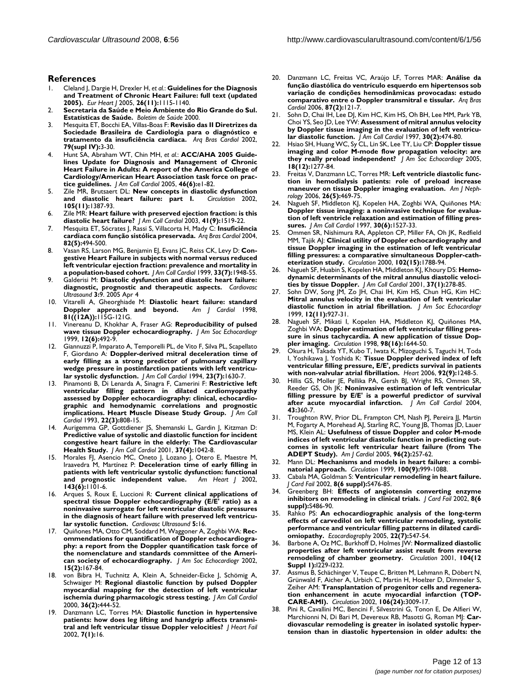#### **References**

- 1. Cleland J, Dargie H, Drexler H, *et al.*: **[Guidelines for the Diagnosis](http://www.ncbi.nlm.nih.gov/entrez/query.fcgi?cmd=Retrieve&db=PubMed&dopt=Abstract&list_uids=15901669) [and Treatment of Chronic Heart Failure: full text \(updated](http://www.ncbi.nlm.nih.gov/entrez/query.fcgi?cmd=Retrieve&db=PubMed&dopt=Abstract&list_uids=15901669) [2005\).](http://www.ncbi.nlm.nih.gov/entrez/query.fcgi?cmd=Retrieve&db=PubMed&dopt=Abstract&list_uids=15901669)** *Eur Heart J* 2005, **26(11):**1115-1140.
- 2. **Secretaria da Saúde e Meio Ambiente do Rio Grande do Sul. Estatísticas de Saúde.** *Boletim de Saúde* 2000.
- 3. Mesquita ET, Bocchi EA, Villas-Boas F: **Revisão das II Diretrizes da Sociedade Brasileira de Cardiologia para o diagnóstico e tratamento da insuficiência cardíaca.** *Arq Bras Cardiol* 2002, **79(supl IV):**3-30.
- Hunt SA, Abraham WT, Chin MH, et al.: **[ACC/AHA 2005 Guide](http://www.ncbi.nlm.nih.gov/entrez/query.fcgi?cmd=Retrieve&db=PubMed&dopt=Abstract&list_uids=16168273)[lines Update for Diagnosis and Management of Chronic](http://www.ncbi.nlm.nih.gov/entrez/query.fcgi?cmd=Retrieve&db=PubMed&dopt=Abstract&list_uids=16168273) Heart Failure in Adults: A report of the America College of Cardiology/American Heart Association task force on prac[tice guidelines.](http://www.ncbi.nlm.nih.gov/entrez/query.fcgi?cmd=Retrieve&db=PubMed&dopt=Abstract&list_uids=16168273)** *J Am Coll Cardiol* 2005, **46(6):**e1-82.
- 5. Zile MR, Brutsaert DL: **[New concepts in diastolic dysfunction](http://www.ncbi.nlm.nih.gov/entrez/query.fcgi?cmd=Retrieve&db=PubMed&dopt=Abstract&list_uids=11901053)** [and diastolic heart failure: part I.](http://www.ncbi.nlm.nih.gov/entrez/query.fcgi?cmd=Retrieve&db=PubMed&dopt=Abstract&list_uids=11901053) **105(11):**1387-93.
- 6. Zile MR: **[Heart failure with preserved ejection fraction: is this](http://www.ncbi.nlm.nih.gov/entrez/query.fcgi?cmd=Retrieve&db=PubMed&dopt=Abstract&list_uids=12742292) [diastolic heart failure?](http://www.ncbi.nlm.nih.gov/entrez/query.fcgi?cmd=Retrieve&db=PubMed&dopt=Abstract&list_uids=12742292)** *J Am Coll Cardiol* 2003, **41(9):**1519-22.
- 7. Mesquita ET, Sócrates J, Rassi S, Villacorta H, Mady C: **[Insuficiência](http://www.ncbi.nlm.nih.gov/entrez/query.fcgi?cmd=Retrieve&db=PubMed&dopt=Abstract&list_uids=15340682) [cardíaca com função sistólica preservada.](http://www.ncbi.nlm.nih.gov/entrez/query.fcgi?cmd=Retrieve&db=PubMed&dopt=Abstract&list_uids=15340682)** *Arq Bras Cardiol* 2004, **82(5):**494-500.
- 8. Vasan RS, Larson MG, Benjamin EJ, Evans JC, Reiss CK, Levy D: **[Con](http://www.ncbi.nlm.nih.gov/entrez/query.fcgi?cmd=Retrieve&db=PubMed&dopt=Abstract&list_uids=10362198)[gestive Heart Failure in subjects with normal versus reduced](http://www.ncbi.nlm.nih.gov/entrez/query.fcgi?cmd=Retrieve&db=PubMed&dopt=Abstract&list_uids=10362198) left ventricular ejection fraction: prevalence and mortality in [a population-based cohort.](http://www.ncbi.nlm.nih.gov/entrez/query.fcgi?cmd=Retrieve&db=PubMed&dopt=Abstract&list_uids=10362198)** *J Am Coll Cardiol* 1999, **33(7):**1948-55.
- 9. Galderisi M: **[Diastolic dysfunction and diastolic heart failure:](http://www.ncbi.nlm.nih.gov/entrez/query.fcgi?cmd=Retrieve&db=PubMed&dopt=Abstract&list_uids=15807887) [diagnostic, prognostic and therapeutic aspects.](http://www.ncbi.nlm.nih.gov/entrez/query.fcgi?cmd=Retrieve&db=PubMed&dopt=Abstract&list_uids=15807887)** *Cardiovasc Ultrasound* **3:**9. 2005 Apr 4
- 10. Vitarelli A, Gheorghiade M: **[Diastolic heart failure: standard](http://www.ncbi.nlm.nih.gov/entrez/query.fcgi?cmd=Retrieve&db=PubMed&dopt=Abstract&list_uids=9662241) [Doppler approach and beyond.](http://www.ncbi.nlm.nih.gov/entrez/query.fcgi?cmd=Retrieve&db=PubMed&dopt=Abstract&list_uids=9662241)** *Am J Cardiol* 1998, **81((12A)):**115G-121G.
- 11. Vinereanu D, Khokhar A, Fraser AG: **[Reproducibility of pulsed](http://www.ncbi.nlm.nih.gov/entrez/query.fcgi?cmd=Retrieve&db=PubMed&dopt=Abstract&list_uids=10359921) [wave tissue Doppler echocardiography.](http://www.ncbi.nlm.nih.gov/entrez/query.fcgi?cmd=Retrieve&db=PubMed&dopt=Abstract&list_uids=10359921)** *J Am Soc Echocardiogr* 1999, **12(6):**492-9.
- 12. Giannuzzi P, Imparato A, Temporelli PL, de Vito F, Silva PL, Scapellato F, Giordano A: **[Doppler-derived mitral deceleration time of](http://www.ncbi.nlm.nih.gov/entrez/query.fcgi?cmd=Retrieve&db=PubMed&dopt=Abstract&list_uids=8195524) [early filling as a strong predictor of pulmonary capillary](http://www.ncbi.nlm.nih.gov/entrez/query.fcgi?cmd=Retrieve&db=PubMed&dopt=Abstract&list_uids=8195524) wedge pressure in postinfarction patients with left ventricu[lar systolic dysfunction.](http://www.ncbi.nlm.nih.gov/entrez/query.fcgi?cmd=Retrieve&db=PubMed&dopt=Abstract&list_uids=8195524)** *J Am Coll Cardiol* 1994, **23(7):**1630-7.
- 13. Pinamonti B, Di Lenarda A, Sinagra F, Camerini F: **[Restrictive left](http://www.ncbi.nlm.nih.gov/entrez/query.fcgi?cmd=Retrieve&db=PubMed&dopt=Abstract&list_uids=8354816) ventricular filling pattern in dilated cardiomyopathy [assessed by Doppler echocardiography: clinical, echocardio](http://www.ncbi.nlm.nih.gov/entrez/query.fcgi?cmd=Retrieve&db=PubMed&dopt=Abstract&list_uids=8354816)graphic and hemodynamic correlations and prognostic [implications. Heart Muscle Disease Study Group.](http://www.ncbi.nlm.nih.gov/entrez/query.fcgi?cmd=Retrieve&db=PubMed&dopt=Abstract&list_uids=8354816)** *J Am Coll Cardiol* 1993, **22(3):**808-15.
- Aurigemma GP, Gottdiener JS, Shemanski L, Gardin J, Kitzman D: **[Predictive value of systolic and diastolic function for incident](http://www.ncbi.nlm.nih.gov/entrez/query.fcgi?cmd=Retrieve&db=PubMed&dopt=Abstract&list_uids=11263606) congestive heart failure in the elderly: The Cardiovascular [Health Study.](http://www.ncbi.nlm.nih.gov/entrez/query.fcgi?cmd=Retrieve&db=PubMed&dopt=Abstract&list_uids=11263606)** *J Am Coll Cardiol* 2001, **37(4):**1042-8.
- 15. Morales FJ, Asencio MC, Oneto J, Lozano J, Otero E, Maestre M, Iraavedra M, Martínez P: **[Deceleration time of early filling in](http://www.ncbi.nlm.nih.gov/entrez/query.fcgi?cmd=Retrieve&db=PubMed&dopt=Abstract&list_uids=12075269) [patients with left ventricular systolic dysfunction: functional](http://www.ncbi.nlm.nih.gov/entrez/query.fcgi?cmd=Retrieve&db=PubMed&dopt=Abstract&list_uids=12075269)** [and prognostic independent value.](http://www.ncbi.nlm.nih.gov/entrez/query.fcgi?cmd=Retrieve&db=PubMed&dopt=Abstract&list_uids=12075269) **143(6):**1101-6.
- 16. Arques S, Roux E, Luccioni R: **[Current clinical applications of](http://www.ncbi.nlm.nih.gov/entrez/query.fcgi?cmd=Retrieve&db=PubMed&dopt=Abstract&list_uids=17386087) [spectral tissue Doppler echocardiography \(E/E' ratio\) as a](http://www.ncbi.nlm.nih.gov/entrez/query.fcgi?cmd=Retrieve&db=PubMed&dopt=Abstract&list_uids=17386087) noninvasive surrogate for left ventricular diastolic pressures in the diagnosis of heart failure with preserved left ventricu[lar systolic function.](http://www.ncbi.nlm.nih.gov/entrez/query.fcgi?cmd=Retrieve&db=PubMed&dopt=Abstract&list_uids=17386087)** *Cardiovasc Ultrasound* **5:**16.
- 17. Quiñones MA, Otto CM, Soddard M, Waggoner A, Zoghbi WA: **[Rec](http://www.ncbi.nlm.nih.gov/entrez/query.fcgi?cmd=Retrieve&db=PubMed&dopt=Abstract&list_uids=11836492)[ommendations for quantification of Doppler echocardiogra](http://www.ncbi.nlm.nih.gov/entrez/query.fcgi?cmd=Retrieve&db=PubMed&dopt=Abstract&list_uids=11836492)phy: a report from the Doppler quantification task force of the nomenclature and standards committee of the Ameri[can society of echocardiography.](http://www.ncbi.nlm.nih.gov/entrez/query.fcgi?cmd=Retrieve&db=PubMed&dopt=Abstract&list_uids=11836492)** *J Am Soc Echocardiogr* 2002, **15(2):**167-84.
- 18. von Bibra H, Tuchnitz A, Klein A, Schneider-Eicke J, Schömig A, Schwaiger M: **[Regional diastolic function by pulsed Doppler](http://www.ncbi.nlm.nih.gov/entrez/query.fcgi?cmd=Retrieve&db=PubMed&dopt=Abstract&list_uids=10933356) [myocardial mapping for the detection of left ventricular](http://www.ncbi.nlm.nih.gov/entrez/query.fcgi?cmd=Retrieve&db=PubMed&dopt=Abstract&list_uids=10933356) [ischemia during pharmacologic stress testing.](http://www.ncbi.nlm.nih.gov/entrez/query.fcgi?cmd=Retrieve&db=PubMed&dopt=Abstract&list_uids=10933356)** *J Am Coll Cardiol* 2000, **36(2):**444-52.
- 19. Danzmann LC, Torres MA: **Diastolic function in hypertensive patients: how does leg lifting and handgrip affects transmitral and left ventricular tissue Doppler velocities?** *J Heart Fail* 2002, **7(1):**16.
- 20. Danzmann LC, Freitas VC, Araújo LF, Torres MAR: **[Análise da](http://www.ncbi.nlm.nih.gov/entrez/query.fcgi?cmd=Retrieve&db=PubMed&dopt=Abstract&list_uids=16951829) [função diastólica do ventrículo esquerdo em hipertensos sob](http://www.ncbi.nlm.nih.gov/entrez/query.fcgi?cmd=Retrieve&db=PubMed&dopt=Abstract&list_uids=16951829) variação de condições hemodinâmicas provocadas: estudo [comparativo entre o Doppler transmitral e tissular.](http://www.ncbi.nlm.nih.gov/entrez/query.fcgi?cmd=Retrieve&db=PubMed&dopt=Abstract&list_uids=16951829)** *Arq Bras Cardiol* 2006, **87(2):**121-7.
- 21. Sohn D, Chai IH, Lee DJ, Kim HC, Kim HS, Oh BH, Lee MM, Park YB, Choi YS, Seo JD, Lee YW: **[Assessment of mitral annulus velocity](http://www.ncbi.nlm.nih.gov/entrez/query.fcgi?cmd=Retrieve&db=PubMed&dopt=Abstract&list_uids=9247521) [by Doppler tissue imaging in the evaluation of left ventricu](http://www.ncbi.nlm.nih.gov/entrez/query.fcgi?cmd=Retrieve&db=PubMed&dopt=Abstract&list_uids=9247521)[lar diastolic function.](http://www.ncbi.nlm.nih.gov/entrez/query.fcgi?cmd=Retrieve&db=PubMed&dopt=Abstract&list_uids=9247521)** *J Am Coll Cardiol* 1997, **30(2):**474-80.
- 22. Hsiao SH, Huang WC, Sy CL, Lin SK, Lee TY, Liu CP: **[Doppler tissue](http://www.ncbi.nlm.nih.gov/entrez/query.fcgi?cmd=Retrieve&db=PubMed&dopt=Abstract&list_uids=16376755) [imaging and color M-mode flow propagation velocity: are](http://www.ncbi.nlm.nih.gov/entrez/query.fcgi?cmd=Retrieve&db=PubMed&dopt=Abstract&list_uids=16376755) [they really preload independent?](http://www.ncbi.nlm.nih.gov/entrez/query.fcgi?cmd=Retrieve&db=PubMed&dopt=Abstract&list_uids=16376755)** *J Am Soc Echocardiogr* 2005, **18(12):**1277-84.
- 23. Freitas V, Danzmann LC, Torres MR: **Left ventricle diastolic function in hemodialysis patients: role of preload increase maneuver on tissue Doppler imaging evaluation.** *Am J Nephrology* 2006, **26(5):**469-75.
- 24. Nagueh SF, Middleton KJ, Kopelen HA, Zoghbi WA, Quiñones MA: **[Doppler tissue imaging: a noninvasive technique for evalua](http://www.ncbi.nlm.nih.gov/entrez/query.fcgi?cmd=Retrieve&db=PubMed&dopt=Abstract&list_uids=9362412)tion of left ventricle relaxation and estimation of filling pres[sures.](http://www.ncbi.nlm.nih.gov/entrez/query.fcgi?cmd=Retrieve&db=PubMed&dopt=Abstract&list_uids=9362412)** *J Am Coll Cardiol* 1997, **30(6):**1527-33.
- 25. Ommen SR, Nishimura RA, Appleton CP, Miller FA, Oh JK, Redfield MM, Tajik AJ: **[Clinical utility of Doppler echocardiography and](http://www.ncbi.nlm.nih.gov/entrez/query.fcgi?cmd=Retrieve&db=PubMed&dopt=Abstract&list_uids=11023933) [tissue Doppler imaging in the estimation of left ventricular](http://www.ncbi.nlm.nih.gov/entrez/query.fcgi?cmd=Retrieve&db=PubMed&dopt=Abstract&list_uids=11023933) filling pressures: a comparative simultaneous Doppler-cath[eterization study.](http://www.ncbi.nlm.nih.gov/entrez/query.fcgi?cmd=Retrieve&db=PubMed&dopt=Abstract&list_uids=11023933)** *Circulation* 2000, **102(15):**1788-94.
- 26. Nagueh SF, Huabin S, Kopelen HA, Middleton KJ, Khoury DS: **[Hemo](http://www.ncbi.nlm.nih.gov/entrez/query.fcgi?cmd=Retrieve&db=PubMed&dopt=Abstract&list_uids=11153752)[dynamic determinants of the mitral annulus diastolic veloci](http://www.ncbi.nlm.nih.gov/entrez/query.fcgi?cmd=Retrieve&db=PubMed&dopt=Abstract&list_uids=11153752)[ties by tissue Doppler.](http://www.ncbi.nlm.nih.gov/entrez/query.fcgi?cmd=Retrieve&db=PubMed&dopt=Abstract&list_uids=11153752)** *J Am Coll Cardiol* 2001, **37(1):**278-85.
- 27. Sohn DW, Song JM, Zo JH, Chai IH, Kim HS, Chun HG, Kim HC: **[Mitral annulus velocity in the evaluation of left ventricular](http://www.ncbi.nlm.nih.gov/entrez/query.fcgi?cmd=Retrieve&db=PubMed&dopt=Abstract&list_uids=10552353) [diastolic function in atrial fibrillation.](http://www.ncbi.nlm.nih.gov/entrez/query.fcgi?cmd=Retrieve&db=PubMed&dopt=Abstract&list_uids=10552353)** *J Am Soc Echocardiogr* 1999, **12(11):**927-31.
- 28. Nagueh SF, Mikati I, Kopelen HA, Middleton KJ, Quiñones MA, Zoghbi WA: **[Doppler estimation of left ventricular filling pres](http://www.ncbi.nlm.nih.gov/entrez/query.fcgi?cmd=Retrieve&db=PubMed&dopt=Abstract&list_uids=9778330)[sure in sinus tachycardia. A new application of tissue Dop](http://www.ncbi.nlm.nih.gov/entrez/query.fcgi?cmd=Retrieve&db=PubMed&dopt=Abstract&list_uids=9778330)[pler imaging.](http://www.ncbi.nlm.nih.gov/entrez/query.fcgi?cmd=Retrieve&db=PubMed&dopt=Abstract&list_uids=9778330)** *Circulation* 1998, **98(16):**1644-50.
- 29. Okura H, Takada YT, Kubo T, Iwata K, Mizoguchi S, Taguchi H, Toda I, Yoshikawa J, Yoshida K: **[Tissue Doppler derived index of left](http://www.ncbi.nlm.nih.gov/entrez/query.fcgi?cmd=Retrieve&db=PubMed&dopt=Abstract&list_uids=16449507) [ventricular filling pressure, E/E', predicts survival in patients](http://www.ncbi.nlm.nih.gov/entrez/query.fcgi?cmd=Retrieve&db=PubMed&dopt=Abstract&list_uids=16449507) [with non-valvular atrial fibrillation.](http://www.ncbi.nlm.nih.gov/entrez/query.fcgi?cmd=Retrieve&db=PubMed&dopt=Abstract&list_uids=16449507)** *Heart* 2006, **92(9):**1248-5.
- 30. Hillis GS, Moller JE, Pellika PA, Gersh BJ, Wright RS, Ommen SR, Reeder GS, Oh JK: **[Noninvasive estimation of left ventricular](http://www.ncbi.nlm.nih.gov/entrez/query.fcgi?cmd=Retrieve&db=PubMed&dopt=Abstract&list_uids=15013115) [filling pressure by E/E' is a powerful predictor of survival](http://www.ncbi.nlm.nih.gov/entrez/query.fcgi?cmd=Retrieve&db=PubMed&dopt=Abstract&list_uids=15013115) [after acute myocardial infarction.](http://www.ncbi.nlm.nih.gov/entrez/query.fcgi?cmd=Retrieve&db=PubMed&dopt=Abstract&list_uids=15013115)** *J Am Coll Cardiol* 2004, **43:**360-7.
- 31. Troughton RW, Prior DL, Frampton CM, Nash PJ, Pereira JJ, Martin M, Fogarty A, Morehead AJ, Starling RC, Young JB, Thomas JD, Lauer MS, Klein AL: **[Usefulness of tissue Doppler and color M-mode](http://www.ncbi.nlm.nih.gov/entrez/query.fcgi?cmd=Retrieve&db=PubMed&dopt=Abstract&list_uids=16018853) [indices of left ventricular diastolic function in predicting out](http://www.ncbi.nlm.nih.gov/entrez/query.fcgi?cmd=Retrieve&db=PubMed&dopt=Abstract&list_uids=16018853)comes in systolic left ventricular heart failure (from The [ADEPT Study\).](http://www.ncbi.nlm.nih.gov/entrez/query.fcgi?cmd=Retrieve&db=PubMed&dopt=Abstract&list_uids=16018853)** *Am J Cardiol* 2005, **96(2):**257-62.
- 32. Mann DL: **[Mechanisms and models in heart failure: a combi](http://www.ncbi.nlm.nih.gov/entrez/query.fcgi?cmd=Retrieve&db=PubMed&dopt=Abstract&list_uids=10468532)[natorial approach.](http://www.ncbi.nlm.nih.gov/entrez/query.fcgi?cmd=Retrieve&db=PubMed&dopt=Abstract&list_uids=10468532)** *Circulation* 1999, **100(9):**999-1088.
- 33. Cabala MA, Goldman S: **[Ventricular remodeling in heart failure.](http://www.ncbi.nlm.nih.gov/entrez/query.fcgi?cmd=Retrieve&db=PubMed&dopt=Abstract&list_uids=12555161)** *J Card Fail* 2002, **8(6 suppl):**S476-85.
- 34. Greenberg BH: **[Effects of angiotensin converting enzyme](http://www.ncbi.nlm.nih.gov/entrez/query.fcgi?cmd=Retrieve&db=PubMed&dopt=Abstract&list_uids=12555162) [inhibitors on remodeling in clinical trials.](http://www.ncbi.nlm.nih.gov/entrez/query.fcgi?cmd=Retrieve&db=PubMed&dopt=Abstract&list_uids=12555162)** *J Card Fail* 2002, **8(6 suppl):**S486-90.
- 35. Rahko PS: **An echocardiographic analysis of the long-term effects of carvedilol on left ventricular remodeling, systolic performance and ventricular filling patterns in dilated cardiomiopathy.** *Ecocardiography* 2005, **22(7):**547-54.
- 36. Barbone A, Oz MC, Burkhoff D, Holmes JW: **[Normalized diastolic](http://www.ncbi.nlm.nih.gov/entrez/query.fcgi?cmd=Retrieve&db=PubMed&dopt=Abstract&list_uids=11568061) [properties after left ventricular assist result from reverse](http://www.ncbi.nlm.nih.gov/entrez/query.fcgi?cmd=Retrieve&db=PubMed&dopt=Abstract&list_uids=11568061) [remodeling of chamber geometry.](http://www.ncbi.nlm.nih.gov/entrez/query.fcgi?cmd=Retrieve&db=PubMed&dopt=Abstract&list_uids=11568061)** *Circulation* 2001, **104(12 Suppl 1):**I229-I232.
- 37. Assmus B, Schächinger V, Teupe C, Britten M, Lehmann R, Döbert N, Grünwald F, Aicher A, Urbich C, Martin H, Hoelzer D, Dimmeler S, Zeiher AM: **[Transplantation of progenitor cells and regenera](http://www.ncbi.nlm.nih.gov/entrez/query.fcgi?cmd=Retrieve&db=PubMed&dopt=Abstract&list_uids=12473544)[tion enhancement in acute myocardial infarction \(TOP-](http://www.ncbi.nlm.nih.gov/entrez/query.fcgi?cmd=Retrieve&db=PubMed&dopt=Abstract&list_uids=12473544)[CARE-AMI\).](http://www.ncbi.nlm.nih.gov/entrez/query.fcgi?cmd=Retrieve&db=PubMed&dopt=Abstract&list_uids=12473544)** *Circulation* 2002, **106(24):**3009-17.
- Pini R, Cavallini MC, Bencini F, Silvestrini G, Tonon E, De Alfieri W, Marchionni N, Di Bari M, Devereux RB, Masotti G, Roman MJ: **[Car](http://www.ncbi.nlm.nih.gov/entrez/query.fcgi?cmd=Retrieve&db=PubMed&dopt=Abstract&list_uids=12383576)[diovascular remodeling is greater in isolated systolic hyper](http://www.ncbi.nlm.nih.gov/entrez/query.fcgi?cmd=Retrieve&db=PubMed&dopt=Abstract&list_uids=12383576)[tension than in diastolic hypertension in older adults: the](http://www.ncbi.nlm.nih.gov/entrez/query.fcgi?cmd=Retrieve&db=PubMed&dopt=Abstract&list_uids=12383576)**